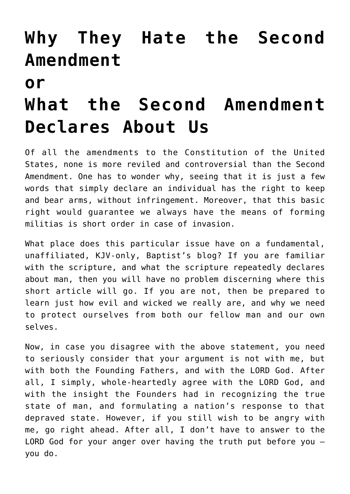## **[Why They Hate the Second](http://reproachofmen.org/2007/06/why-they-hate-the-second-amendmentorwhat-the-second-amendment-declares-about-us/) [Amendment](http://reproachofmen.org/2007/06/why-they-hate-the-second-amendmentorwhat-the-second-amendment-declares-about-us/)**

## **[or](http://reproachofmen.org/2007/06/why-they-hate-the-second-amendmentorwhat-the-second-amendment-declares-about-us/)**

## **[What the Second Amendment](http://reproachofmen.org/2007/06/why-they-hate-the-second-amendmentorwhat-the-second-amendment-declares-about-us/) [Declares About Us](http://reproachofmen.org/2007/06/why-they-hate-the-second-amendmentorwhat-the-second-amendment-declares-about-us/)**

Of all the amendments to the Constitution of the United States, none is more reviled and controversial than the Second Amendment. One has to wonder why, seeing that it is just a few words that simply declare an individual has the right to keep and bear arms, without infringement. Moreover, that this basic right would guarantee we always have the means of forming militias is short order in case of invasion.

What place does this particular issue have on a fundamental, unaffiliated, KJV-only, Baptist's blog? If you are familiar with the scripture, and what the scripture repeatedly declares about man, then you will have no problem discerning where this short article will go. If you are not, then be prepared to learn just how evil and wicked we really are, and why we need to protect ourselves from both our fellow man and our own selves.

Now, in case you disagree with the above statement, you need to seriously consider that your argument is not with me, but with both the Founding Fathers, and with the LORD God. After all, I simply, whole-heartedly agree with the LORD God, and with the insight the Founders had in recognizing the true state of man, and formulating a nation's response to that depraved state. However, if you still wish to be angry with me, go right ahead. After all, I don't have to answer to the LORD God for your anger over having the truth put before you – you do.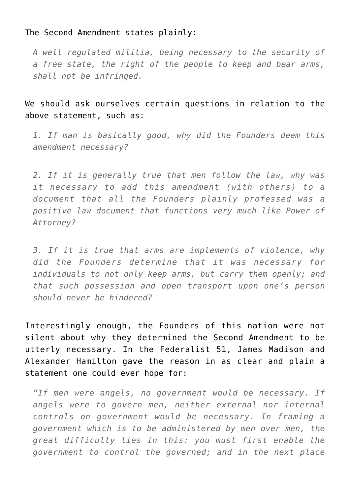## The Second Amendment states plainly:

*A well regulated militia, being necessary to the security of a free state, the right of the people to keep and bear arms, shall not be infringed.*

We should ask ourselves certain questions in relation to the above statement, such as:

*1. If man is basically good, why did the Founders deem this amendment necessary?*

*2. If it is generally true that men follow the law, why was it necessary to add this amendment (with others) to a document that all the Founders plainly professed was a positive law document that functions very much like Power of Attorney?*

*3. If it is true that arms are implements of violence, why did the Founders determine that it was necessary for individuals to not only keep arms, but carry them openly; and that such possession and open transport upon one's person should never be hindered?*

Interestingly enough, the Founders of this nation were not silent about why they determined the Second Amendment to be utterly necessary. In the Federalist 51, James Madison and Alexander Hamilton gave the reason in as clear and plain a statement one could ever hope for:

*"If men were angels, no government would be necessary. If angels were to govern men, neither external nor internal controls on government would be necessary. In framing a government which is to be administered by men over men, the great difficulty lies in this: you must first enable the government to control the governed; and in the next place*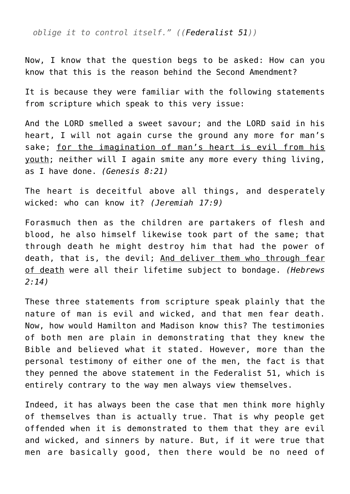*oblige it to control itself." ([\(Federalist 51\)](http://www.constitution.org/fed/federa51.htm))*

Now, I know that the question begs to be asked: How can you know that this is the reason behind the Second Amendment?

It is because they were familiar with the following statements from scripture which speak to this very issue:

And the LORD smelled a sweet savour; and the LORD said in his heart, I will not again curse the ground any more for man's sake; for the imagination of man's heart is evil from his youth; neither will I again smite any more every thing living, as I have done. *(Genesis 8:21)*

The heart is deceitful above all things, and desperately wicked: who can know it? *(Jeremiah 17:9)*

Forasmuch then as the children are partakers of flesh and blood, he also himself likewise took part of the same; that through death he might destroy him that had the power of death, that is, the devil; And deliver them who through fear of death were all their lifetime subject to bondage. *(Hebrews 2:14)*

These three statements from scripture speak plainly that the nature of man is evil and wicked, and that men fear death. Now, how would Hamilton and Madison know this? The testimonies of both men are plain in demonstrating that they knew the Bible and believed what it stated. However, more than the personal testimony of either one of the men, the fact is that they penned the above statement in the Federalist 51, which is entirely contrary to the way men always view themselves.

Indeed, it has always been the case that men think more highly of themselves than is actually true. That is why people get offended when it is demonstrated to them that they are evil and wicked, and sinners by nature. But, if it were true that men are basically good, then there would be no need of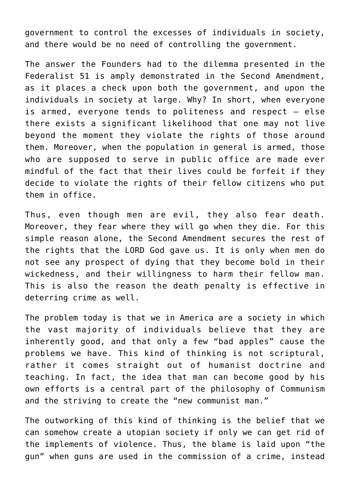government to control the excesses of individuals in society, and there would be no need of controlling the government.

The answer the Founders had to the dilemma presented in the Federalist 51 is amply demonstrated in the Second Amendment, as it places a check upon both the government, and upon the individuals in society at large. Why? In short, when everyone is armed, everyone tends to politeness and respect – else there exists a significant likelihood that one may not live beyond the moment they violate the rights of those around them. Moreover, when the population in general is armed, those who are supposed to serve in public office are made ever mindful of the fact that their lives could be forfeit if they decide to violate the rights of their fellow citizens who put them in office.

Thus, even though men are evil, they also fear death. Moreover, they fear where they will go when they die. For this simple reason alone, the Second Amendment secures the rest of the rights that the LORD God gave us. It is only when men do not see any prospect of dying that they become bold in their wickedness, and their willingness to harm their fellow man. This is also the reason the death penalty is effective in deterring crime as well.

The problem today is that we in America are a society in which the vast majority of individuals believe that they are inherently good, and that only a few "bad apples" cause the problems we have. This kind of thinking is not scriptural, rather it comes straight out of humanist doctrine and teaching. In fact, the idea that man can become good by his own efforts is a central part of the philosophy of Communism and the striving to create the "new communist man."

The outworking of this kind of thinking is the belief that we can somehow create a utopian society if only we can get rid of the implements of violence. Thus, the blame is laid upon "the gun" when guns are used in the commission of a crime, instead